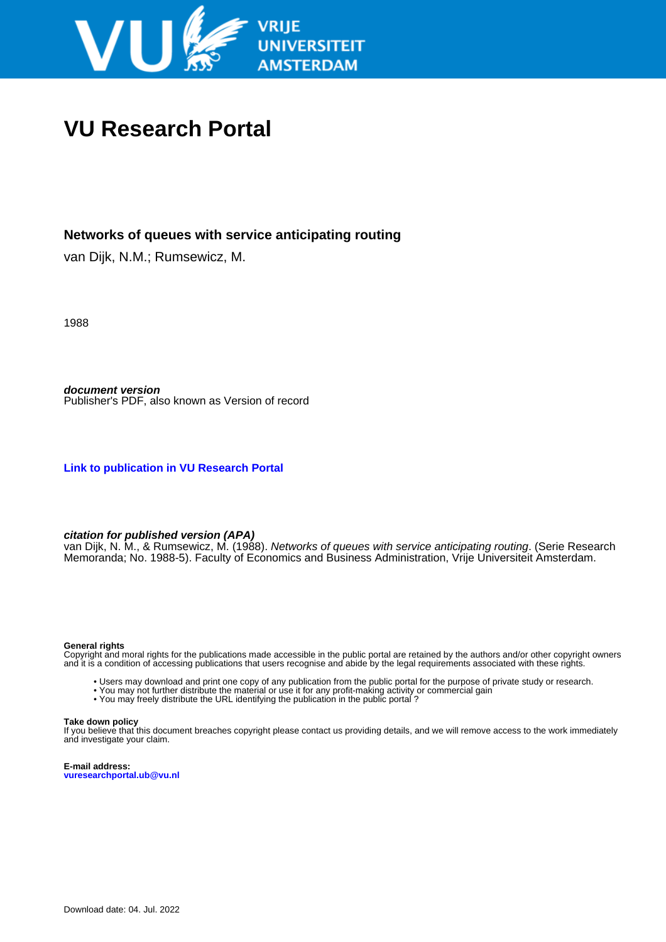

## **VU Research Portal**

#### **Networks of queues with service anticipating routing**

van Dijk, N.M.; Rumsewicz, M.

1988

**document version** Publisher's PDF, also known as Version of record

**[Link to publication in VU Research Portal](https://research.vu.nl/en/publications/89d00edd-be0d-4d40-b75d-ecb9b842c2d1)**

#### **citation for published version (APA)**

van Dijk, N. M., & Rumsewicz, M. (1988). *Networks of queues with service anticipating routing*. (Serie Research Memoranda; No. 1988-5). Faculty of Economics and Business Administration, Vrije Universiteit Amsterdam.

#### **General rights**

Copyright and moral rights for the publications made accessible in the public portal are retained by the authors and/or other copyright owners and it is a condition of accessing publications that users recognise and abide by the legal requirements associated with these rights.

- Users may download and print one copy of any publication from the public portal for the purpose of private study or research.
- You may not further distribute the material or use it for any profit-making activity or commercial gain
- You may freely distribute the URL identifying the publication in the public portal?

#### **Take down policy**

If you believe that this document breaches copyright please contact us providing details, and we will remove access to the work immediately and investigate your claim.

**E-mail address: vuresearchportal.ub@vu.nl**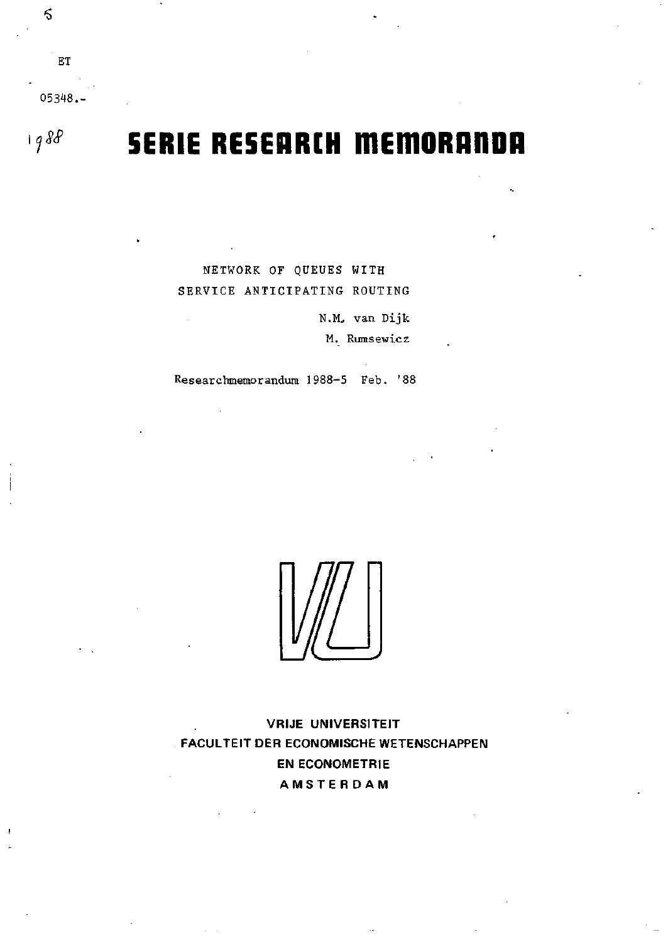05348.-

 $\mathbf{E}\mathbf{T}$ 

 $1988$ 

 $\delta$ 

# **SERIE RESEARCH MEMORANDA**

NETWORK OF QUEUES WITH SERVICE ANTICIPATING ROUTING

> N.M. van Dijk M. Rumsewicz

Researchmemorandum 1988-5 Feb. '88

**VRIJE UNIVERSITEIT** FACULTEIT DER ECONOMISCHE WETENSCHAPPEN **EN ECONOMETRIE** AMSTERDAM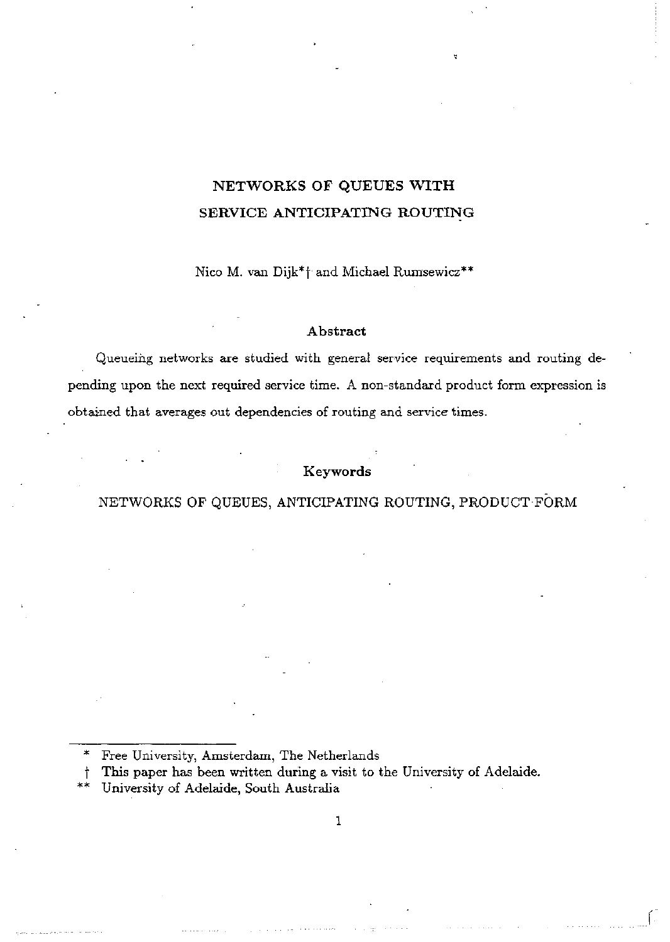## **NETWORKS OF QUEUES WITH SERVICE ANTICIPATING ROUTING**

Nico M. van Dijk\*f and Michael Rumsewicz\*\*

#### Abstract

Queueing networks are studied with general service requirements and routing depending upon the next required service time. A non-standard product form expression is obtained that averages out dependencies of routing and service times.

### **Keywords**

#### NETWORKS OF QUEUES, ANTICIPATING ROUTING, PRODUCT FÖRM

Free University, Amsterdam, The Netherlands

This paper has been written during a visit to the University of Adelaide.

**\*\*** University of Adelaide, South Australia

1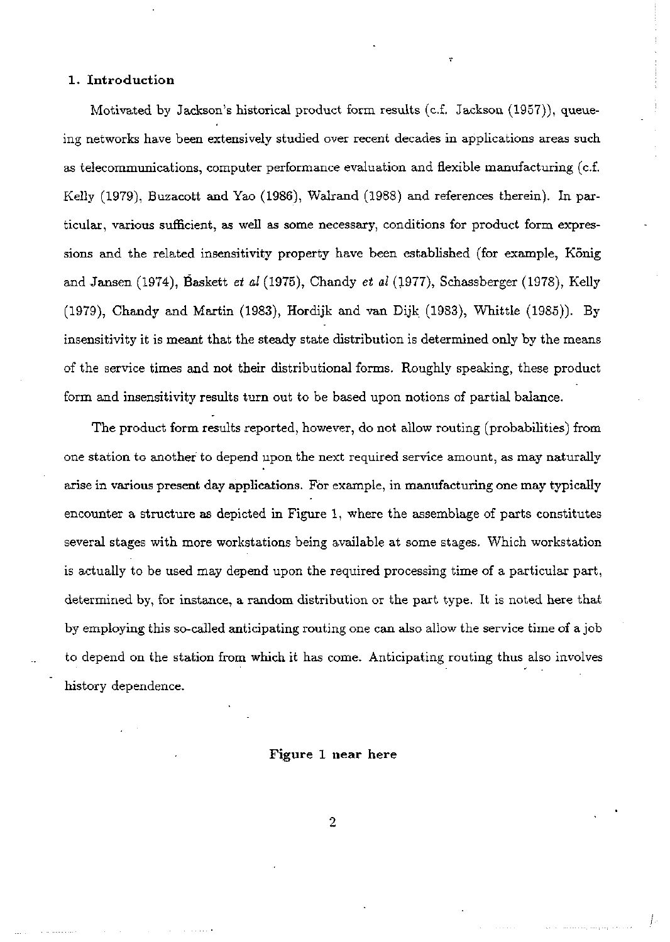#### **1. Introduction**

Motivated by Jackson's historical product form results (c.f. Jackson (1957)), queueing networks have been extensively studied over recent decades in applications areas such as telecommunications, computer performance evaluation and fiexible manufacturing (c.f. Kelly (1979), Buzacott and Yao (1986), Walrand (1988) and references therein). In particular, various sufficient, as well as some necessary, conditions for product form expressions and the related insensitivity property have been established (for example, König and Jansen (1974), Baskett *et al* (1975), Chandy *et al* (1977), Schassberger (1978), Kelly (1979), Chandy and Martin (1983), Hordijk and van Dijk (1983), Whittle (1985)). By insensitivity it is meant that the steady state distribution is determined only by the means of the service times and not their distributional forms. Roughly speaking, these product form and insensitivity results turn out to be based upon notions of partial balance.

The product form results reported, however, do not allow routing (probabilities) from one station to anothef to depend upon the next required service amount, as may naturally arise in various present day applications. For example, in manufacturing one may typically encounter a structure as depicted in Figure 1, where the assemblage of parts constitutes several stages with more workstations being available at some stages. Which Workstation is actually to be used may depend upon the required processing time of a particular part, determined by, for instance, a random distribution or the part type. It is noted here that by employing this so-called anticipating routing one can also allow the service time of a job to depend on the station from which it has come. Anticipating routing thus also involves history dependence.

#### **Figure 1 near here**

**2**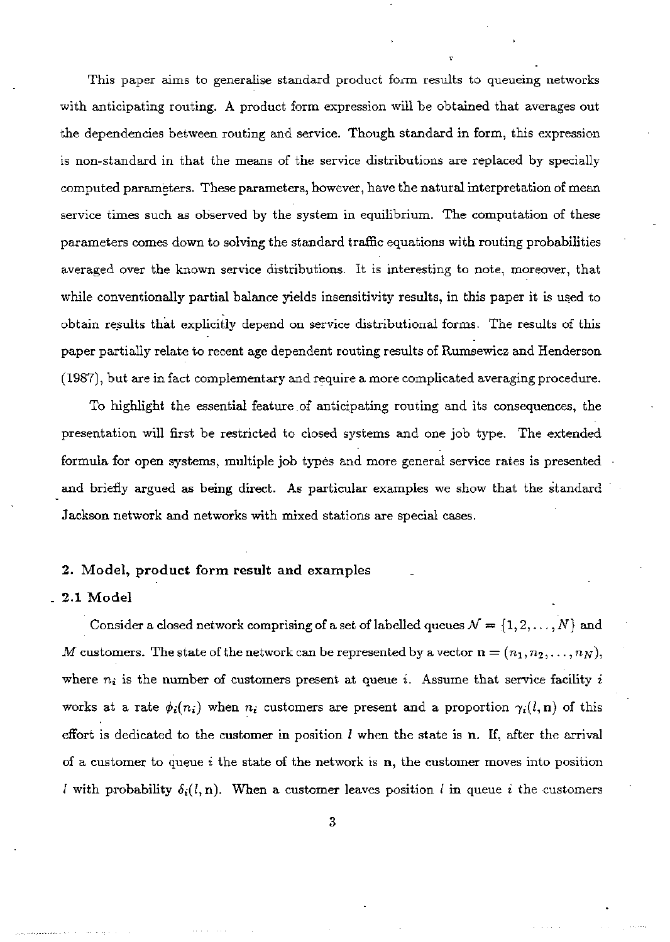This paper aims to generalise standard product form results to queueing networks with anticipating routing. A product form expression will be obtained that averages out the dependencies between routing and service. Though standard in form, this expression is non-standard in that the means of the service distributions are replaced by specially computed parameters. These parameters, however, have the natural interpretation of mean service times such as observed by the system in equilibrium. The computation of these parameters comes down to solving the standard trafHc equations with routing probabilities averaged over the known service distributions. It is interesting to note, moreover, that while conventionally partial balance yields insensitivity results, in this paper it is used to obtain results that explicitly depend on service distributional forms. The results of this paper partially relate to recent age dependent routing results of Rumsewicz and Henderson (1987), but are in fact complementary and require a more complicated averaging procedure.

To highlight the essential feature .of anticipating routing and its consequences, the presentation will first be restricted to closed systems and one job type. The extended formula for open systems, multiple job types and more general service rates is presented and briefly argued as being direct. As particular examples we show that the standard Jackson network and networks with mixed stations are special cases.

#### **2. Model, product form result and examples**

#### **\_ 2.1 Mode l**

Consider a closed network comprising of a set of labelled queues  $\mathcal{N} = \{1, 2, ..., N\}$  and *M* customers. The state of the network can be represented by a vector  $\mathbf{n} = (n_1, n_2, \ldots, n_N)$ , where  $n_i$  is the number of customers present at queue *i*. Assume that service facility *i* works at a rate  $\phi_i(n_i)$  when  $n_i$  customers are present and a proportion  $\gamma_i(l,n)$  of this effort is dedicated to the customer in position  $l$  when the state is n. If, after the arrival of a customer to queue *i* the state of the network is n, the customer moves into position *l* with probability  $\delta_i(l,n)$ . When a customer leaves position *l* in queue *i* the customers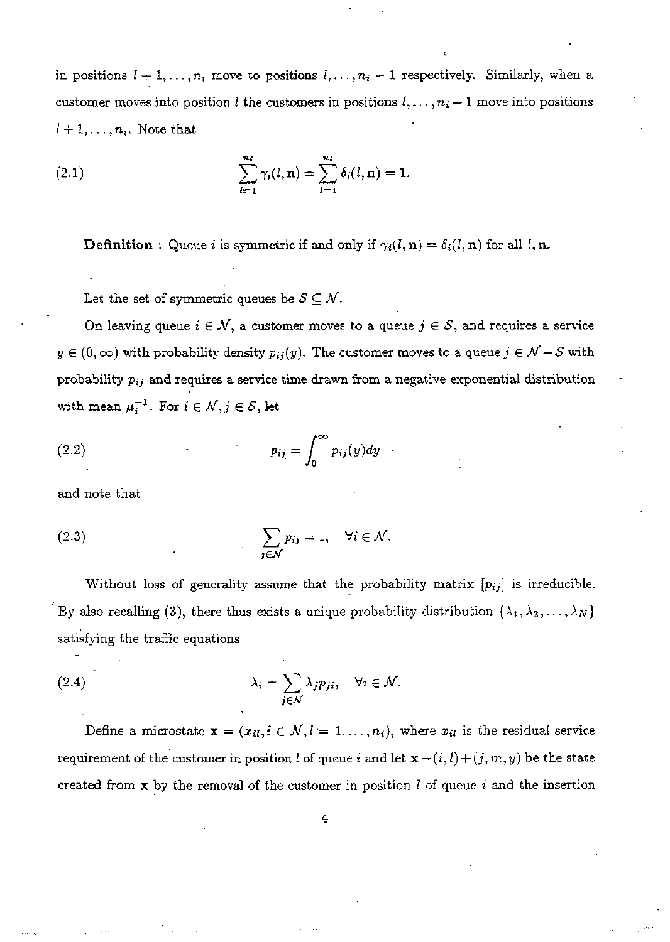in positions  $l + 1, \ldots, n_i$  move to positions  $l, \ldots, n_i-1$  respectively. Similarly, when a customer moves into position *l* the customers in positions  $l, \ldots, n_i - 1$  move into positions  $l + 1, \ldots, n_i$ . Note that

(2.1) 
$$
\sum_{l=1}^{n_i} \gamma_i(l, \mathbf{n}) = \sum_{l=1}^{n_i} \delta_i(l, \mathbf{n}) = 1.
$$

**Definition**: Queue *i* is symmetric if and only if  $\gamma_i(l, n) = \delta_i(l, n)$  for all l, n.

Let the set of symmetric queues be  $S \subseteq \mathcal{N}$ .

On leaving queue  $i \in \mathcal{N}$ , a customer moves to a queue  $j \in \mathcal{S}$ , and requires a service  $y \in (0, \infty)$  with probability density  $p_{ij}(y)$ . The customer moves to a queue  $j \in \mathcal{N} - \mathcal{S}$  with probability *pij* and requires a service time drawn from a negative exponential distribution with mean  $\mu_i^{-1}$ . For  $i \in \mathcal{N}, j \in \mathcal{S}$ , let

(2.2) 
$$
p_{ij} = \int_0^\infty p_{ij}(y) dy
$$

and note that

(2.3) 
$$
\sum_{j \in \mathcal{N}} p_{ij} = 1, \quad \forall i \in \mathcal{N}.
$$

Without loss of generality assume that the probability matrix *{pij}* is irreducible. By also recalling (3), there thus exists a unique probability distribution  $\{\lambda_1, \lambda_2, \ldots, \lambda_N\}$ satisfying the traffic equations

(2.4) 
$$
\lambda_i = \sum_{j \in \mathcal{N}} \lambda_j p_{ji}, \quad \forall i \in \mathcal{N}.
$$

Define a microstate  $x = (x_{il}, i \in \mathcal{N}, l = 1, ..., n_i)$ , where  $x_{il}$  is the residual service requirement of the customer in position  $l$  of queue  $i$  and let  $\mathbf{x} - (i, l) + (j, m, y)$  be the state created from x by the removal of the customer in position / of queue *i* and the insertion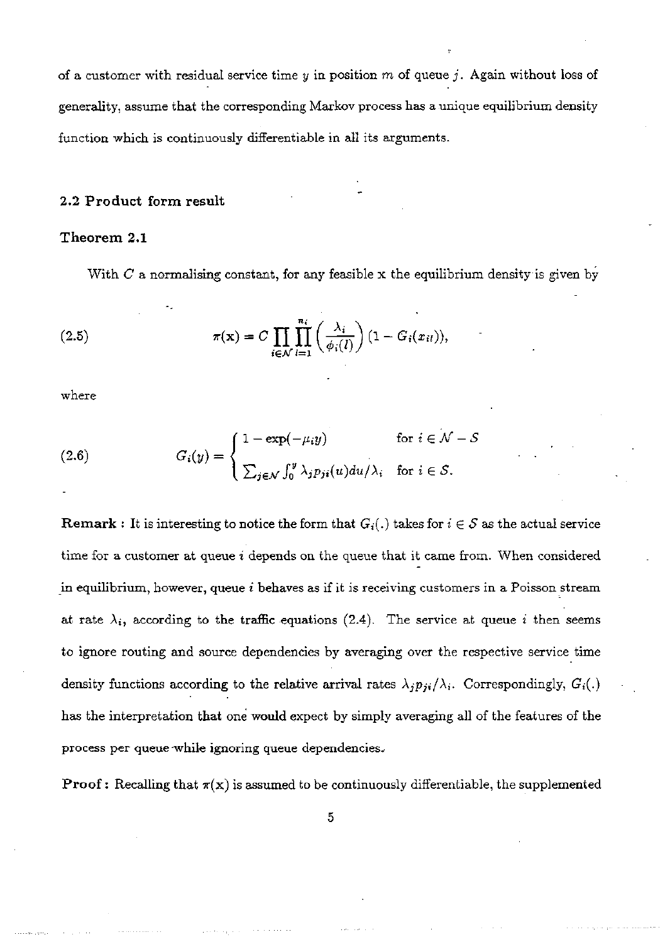of a customer with residual service time *y* in position *m* of queue *j .* Again without loss of generality, assume that the corresponding Markov process has a unique equilibrium density function which is continuously differentiable in all its arguments.

#### **2.2 Product form result**

#### **Theorem 2.1**

With *C* a normalising constant, for any feasible x the equilibrium density is given by

(2.5) 
$$
\pi(\mathbf{x}) = C \prod_{i \in \mathcal{N}} \prod_{l=1}^{n_i} \left( \frac{\lambda_i}{\phi_i(l)} \right) (1 - G_i(x_{il})),
$$

where

(2.6) 
$$
G_i(y) = \begin{cases} 1 - \exp(-\mu_i y) & \text{for } i \in \mathcal{N} - \mathcal{S} \\ \sum_{j \in \mathcal{N}} \int_0^y \lambda_j p_{ji}(u) du / \lambda_i & \text{for } i \in \mathcal{S}. \end{cases}
$$

**Remark** : It is interesting to notice the form that  $G_i(.)$  takes for  $i \in S$  as the actual service time for a customer at queue *i* depends on the queue that it came from. When considered in equilibrium, however, queue *i* behaves as if it is receiving customers in a Poisson stream at rate  $\lambda_i$ , according to the traffic equations (2.4). The service at queue i then seems to ignore routing and source dependencies by averaging over the respective service time density functions according to the relative arrival rates  $\lambda_j p_{ji}/\lambda_i$ . Correspondingly,  $G_i(.)$ has the interpretation that one would expect by simply averaging all of the features of the process per queue while ignoring queue dependencies.

**Proof:** Recalling that  $\pi(x)$  is assumed to be continuously differentiable, the supplemented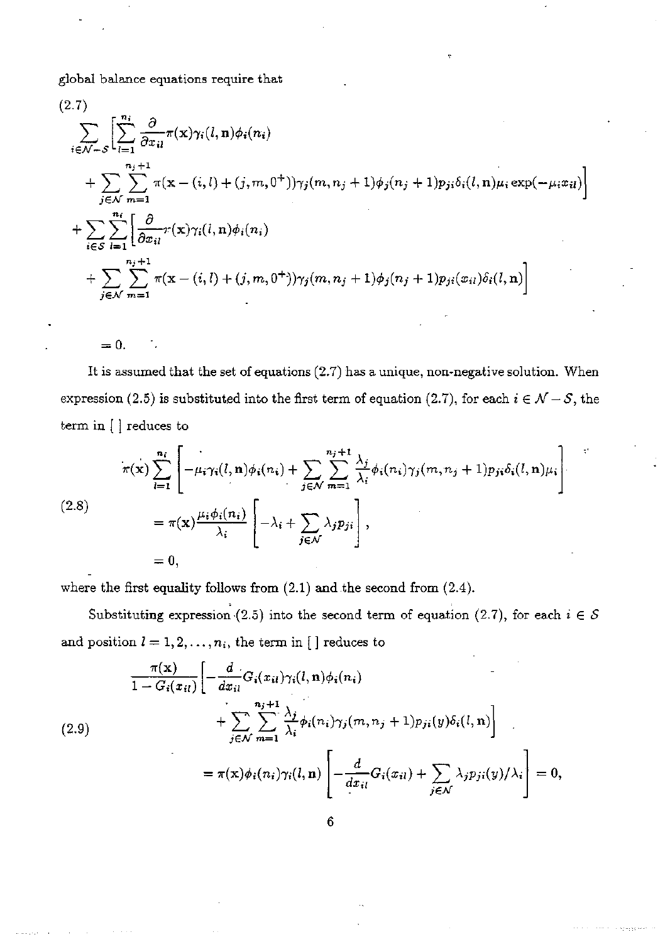global balance equations require that

$$
(2.7) \sum_{i \in \mathcal{N}-S} \left[ \sum_{l=1}^{n_i} \frac{\partial}{\partial x_{il}} \pi(\mathbf{x}) \gamma_i(l, \mathbf{n}) \phi_i(n_i) + \sum_{j \in \mathcal{N}} \sum_{m=1}^{n_i+1} \pi(\mathbf{x} - (i, l) + (j, m, 0^+)) \gamma_j(m, n_j + 1) \phi_j(n_j + 1) p_{ji} \delta_i(l, \mathbf{n}) \mu_i \exp(-\mu_i x_{il}) \right] + \sum_{i \in S} \sum_{l=1}^{n_i} \left[ \frac{\partial}{\partial x_{il}} \pi(\mathbf{x}) \gamma_i(l, \mathbf{n}) \phi_i(n_i) + \sum_{j \in \mathcal{N}} \sum_{m=1}^{n_j+1} \pi(\mathbf{x} - (i, l) + (j, m, 0^+) ) \gamma_j(m, n_j + 1) \phi_j(n_j + 1) p_{ji}(x_{il}) \delta_i(l, \mathbf{n}) \right]
$$

 $= 0.$ 

It is assumed that the set of equations (2.7) has a unique, non-negative solution. When expression (2.5) is substituted into the first term of equation (2.7), for each  $i \in \mathcal{N} - \mathcal{S}$ , the term in [ ] reduces to

$$
\pi(\mathbf{x}) \sum_{i=1}^{n_i} \left[ -\mu_i \gamma_i(l, \mathbf{n}) \phi_i(n_i) + \sum_{j \in \mathcal{N}} \sum_{m=1}^{n_j+1} \frac{\lambda_j}{\lambda_i} \phi_i(n_i) \gamma_j(m, n_j+1) p_{ji} \delta_i(l, \mathbf{n}) \mu_i \right]
$$
  
(2.8)  

$$
= \pi(\mathbf{x}) \frac{\mu_i \phi_i(n_i)}{\lambda_i} \left[ -\lambda_i + \sum_{j \in \mathcal{N}} \lambda_j p_{ji} \right],
$$
  

$$
= 0,
$$

where the first equality follows from (2.1) and the second from (2.4).

Substituting expression (2.5) into the second term of equation (2.7), for each  $i \in S$ and position  $l = 1, 2, ..., n_i$ , the term in [ ] reduces to

$$
\frac{\pi(\mathbf{x})}{1 - G_i(x_{il})} \left[ -\frac{d}{dx_{il}} G_i(x_{il}) \gamma_i(l, \mathbf{n}) \phi_i(n_i) + \sum_{j \in \mathcal{N}} \sum_{m=1}^{n_j+1} \frac{\lambda_j}{\lambda_i} \phi_i(n_i) \gamma_j(m, n_j + 1) p_{ji}(y) \delta_i(l, \mathbf{n}) \right]
$$
\n
$$
= \pi(\mathbf{x}) \phi_i(n_i) \gamma_i(l, \mathbf{n}) \left[ -\frac{d}{dx_{il}} G_i(x_{il}) + \sum_{j \in \mathcal{N}} \lambda_j p_{ji}(y) / \lambda_i \right] = 0,
$$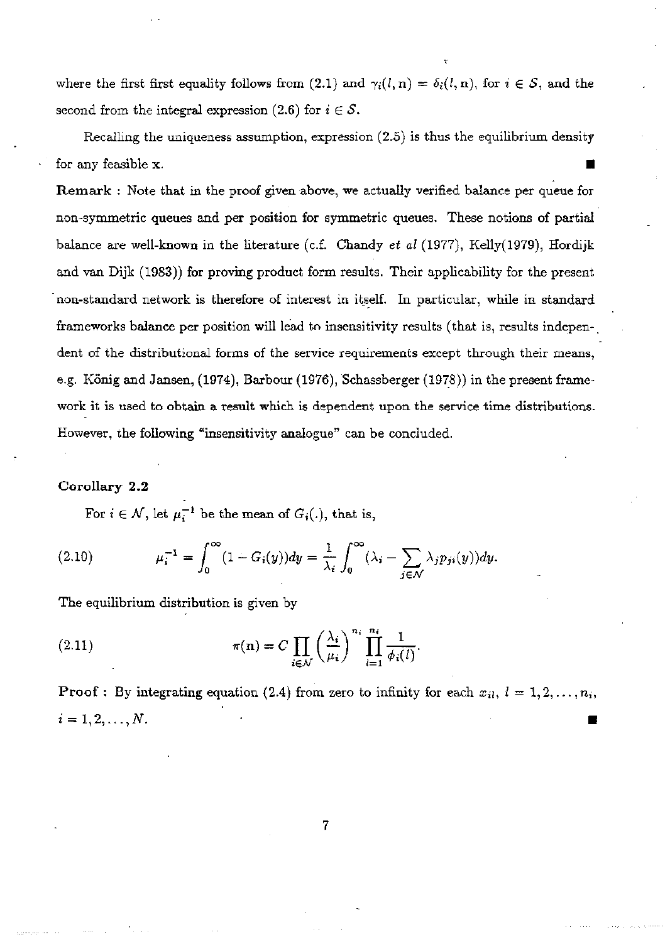where the first first equality follows from (2.1) and  $\gamma_i(l,n) = \delta_i(l,n)$ , for  $i \in S$ , and the second from the integral expression  $(2.6)$  for  $i \in S$ .

Recalling the uniqueness assumption, expression (2.5) is thus the equilibrium density for any feasible x.

**Remark** : Note that in the proof given above, we actually verified balance per queue for non-symmetric queues and per position for symmetrie queues. These notions of partial balance are well-known in the literature (c.f. Chandy *et al* (1977), Kelly(1979), Hordijk and van Dijk (1983)) for proving product form results. Their applicability for the present non-standard network is therefore of interest in itself. In particular, while in standard frameworks balance per position will lead to insensitivity results (that is, results independent of the distributional forms of the service requirements except through their means, e.g. König and Jansen, (1974), Barbour (1976), Schassberger (1978)) in the present framework it is used to obtain a result which is dependent upon the service time distributions. However, the following "insensitivity analogue" can be concluded,

#### **Corollary 2.2**

For  $i \in \mathcal{N}$ , let  $\mu_i^{-1}$  be the mean of  $G_i(.)$ , that is,

(2.10) 
$$
\mu_i^{-1} = \int_0^\infty (1 - G_i(y)) dy = \frac{1}{\lambda_i} \int_0^\infty (\lambda_i - \sum_{j \in \mathcal{N}} \lambda_j p_{ji}(y)) dy.
$$

The equilibrium distribution is given by

(2.11) 
$$
\pi(\mathbf{n}) = C \prod_{i \in \mathcal{N}} \left(\frac{\lambda_i}{\mu_i}\right)^{n_i} \prod_{l=1}^{n_i} \frac{1}{\phi_i(l)}.
$$

**Proof**: By integrating equation (2.4) from zero to infinity for each  $x_{il}$ ,  $l = 1, 2, ..., n_i$ ,  $i = 1, 2, ..., N$ .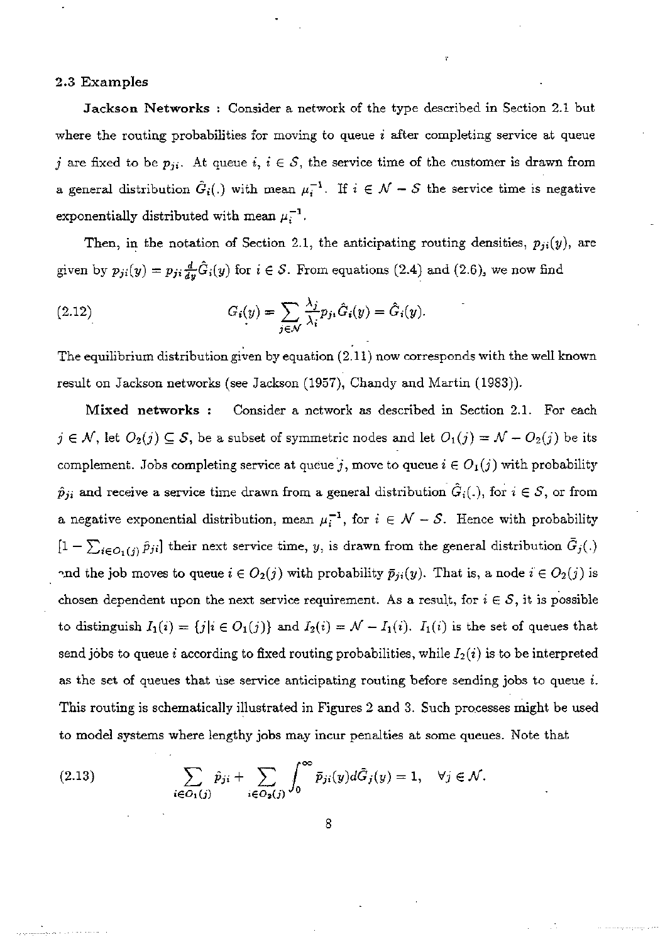#### **2.3 Examples**

**Jackson Networks** : Consider a network of the type described in Section 2.1 but where the routing probabilities for moving to queue *i* after completing service at queue *j* are fixed to be  $p_{ji}$ . At queue *i*,  $i \in S$ , the service time of the customer is drawn from a general distribution  $\hat{G}_i(.)$  with mean  $\mu_i^{-1}$ . If  $i \in \mathcal{N} - \mathcal{S}$  the service time is negative exponentially distributed with mean  $\mu_i^{-1}$ .

Then, in the notation of Section 2.1, the anticipating routing densities,  $p_{ji}(y)$ , are given by  $p_{ji}(y) = p_{ji} \frac{d}{dy} \hat{G}_i(y)$  for  $i \in S$ . From equations (2.4) and (2.6), we now find

(2.12) 
$$
G_i(y) = \sum_{j \in \mathcal{N}} \frac{\lambda_j}{\lambda_i} p_{ji} \hat{G}_i(y) = \hat{G}_i(y).
$$

The equilibrium distribution given by equation (2.11) now corresponds with the well known result on Jackson networks (see Jackson (1957), Chandy and Martin (1983)).

**Mixed networks** : Consider a network as described in Section 2.1. For each  $j \in \mathcal{N}$ , let  $O_2(j) \subseteq \mathcal{S}$ , be a subset of symmetric nodes and let  $O_1(j) = \mathcal{N} - O_2(j)$  be its complement. Jobs completing service at queue  $j$ , move to queue  $i \in O_1(j)$  with probability  $\hat{p}_{ji}$  and receive a service time drawn from a general distribution  $\hat{G}_i(.)$ , for  $i \in \mathcal{S}$ , or from a negative exponential distribution, mean  $\mu_i^{-1}$ , for  $i \in \mathcal{N} - \mathcal{S}$ . Hence with probability  $[1-\sum_{i\in O_1(i)}\hat{p}_{ji}]$  their next service time, y, is drawn from the general distribution  $\bar{G}_j(.)$ and the job moves to queue  $i \in O_2(j)$  with probability  $\bar{p}_{ji}(y)$ . That is, a node  $i \in O_2(j)$  is chosen dependent upon the next service requirement. As a result, for  $i \in S$ , it is possible to distinguish  $I_1(i) = \{j|i \in O_1(j)\}$  and  $I_2(i) = \mathcal{N} - I_1(i)$ .  $I_1(i)$  is the set of queues that send jobs to queue *i* according to fixed routing probabilities, while  $I_2(i)$  is to be interpreted as the set of queues that use service anticipating routing before sending jobs to queue *i.*  This routing is schematically illustrated in Figures 2 and 3. Such processes might be used to model systems where lengthy jobs may incur penalties at some queues. Note that

(2.13) 
$$
\sum_{i \in O_1(j)} \hat{p}_{ji} + \sum_{i \in O_2(j)} \int_0^\infty \overline{p}_{ji}(y) d\overline{G}_j(y) = 1, \quad \forall j \in \mathcal{N}.
$$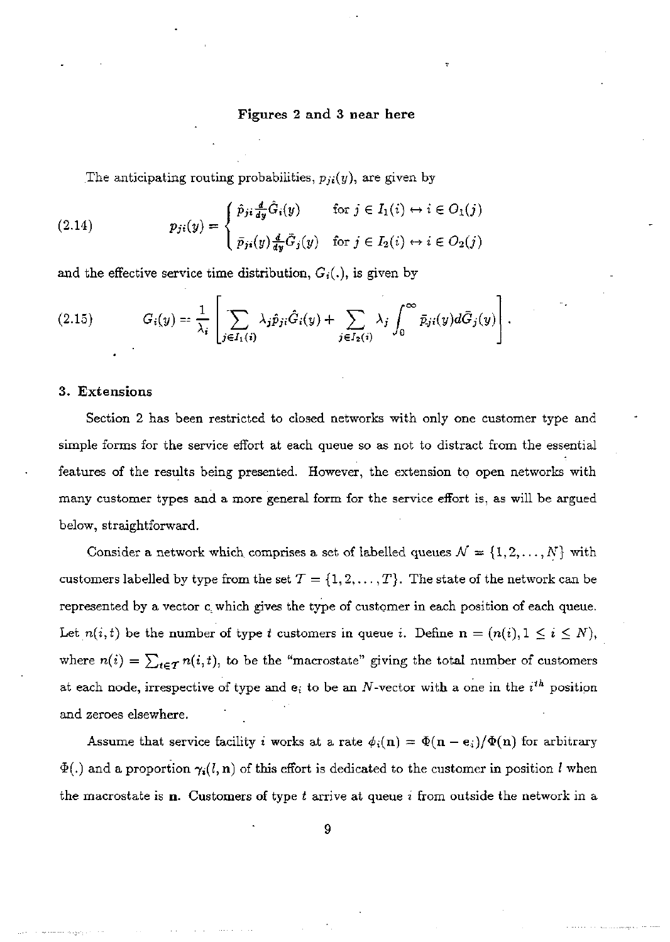#### **Figures 2 and 3 near here**

The anticipating routing probabilities,  $p_{ji}(y)$ , are given by

(2.14) 
$$
p_{ji}(y) = \begin{cases} \hat{p}_{ji} \frac{d}{dy} \hat{G}_i(y) & \text{for } j \in I_1(i) \leftrightarrow i \in O_1(j) \\ \bar{p}_{ji}(y) \frac{d}{dy} \bar{G}_j(y) & \text{for } j \in I_2(i) \leftrightarrow i \in O_2(j) \end{cases}
$$

and the effective service time distribution,  $G_i(.)$ , is given by

(2.15) 
$$
G_i(y) = \frac{1}{\lambda_i} \left[ \sum_{j \in I_1(i)} \lambda_j \hat{p}_{ji} \hat{G}_i(y) + \sum_{j \in I_2(i)} \lambda_j \int_0^\infty \bar{p}_{ji}(y) d\bar{G}_j(y) \right].
$$

#### 3. Extensions

Section 2 has been restricted to closed networks with only one customer type and simple forms for the service effort at each queue so as not to distract from the essential features of the results being presented. However, the extension to open networks with many customer types and a more general form for the service effort is, as will be argued below, straightforward.

Consider a network which comprises a set of labelled queues  $\mathcal{N} = \{1, 2, ..., N\}$  with customers labelled by type from the set  $T = \{1, 2, ..., T\}$ . The state of the network can be represented by a vector c which gives the type of customer in each position of each queue. Let  $n(i, t)$  be the number of type t customers in queue i. Define  $n = (n(i), 1 \le i \le N)$ , where  $n(i) = \sum_{t \in \mathcal{T}} n(i, t)$ , to be the "macrostate" giving the total number of customers at each node, irrespective of type and  $e_i$  to be an  $N$ -vector with a one in the  $i^{th}$  position and zeroes elsewhere.

Assume that service facility *i* works at a rate  $\phi_i(\mathbf{n}) = \Phi(\mathbf{n} - \mathbf{e}_i)/\Phi(\mathbf{n})$  for arbitrary  $\Phi(.)$  and a proportion  $\gamma_i(l,n)$  of this effort is dedicated to the customer in position l when the macrostate is n. Customers of type *t* arrive at queue *i* from outside the network in a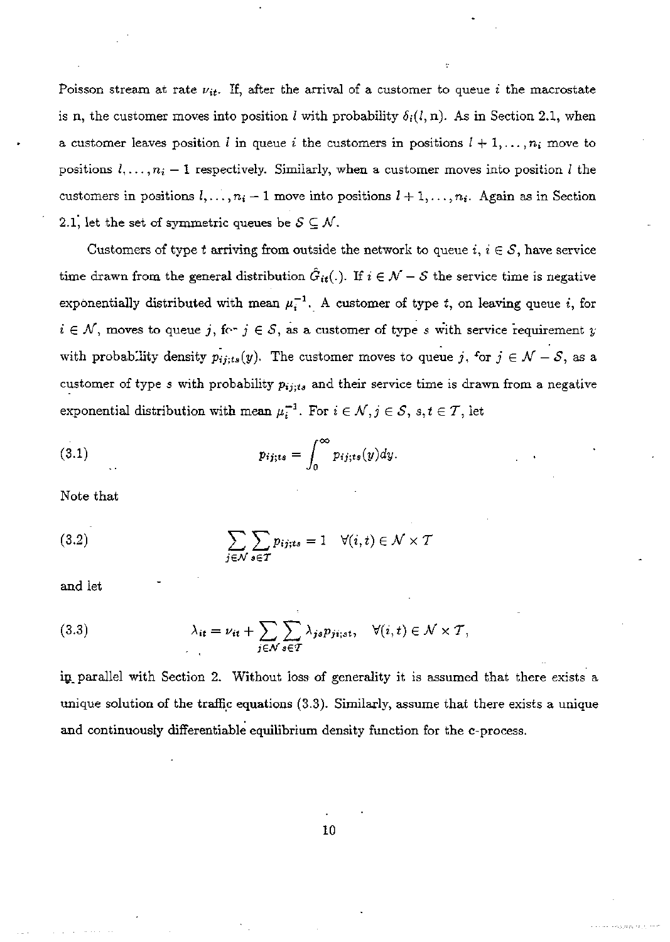Poisson stream at rate  $\nu_{it}$ . If, after the arrival of a customer to queue *i* the macrostate is n, the customer moves into position *l* with probability  $\delta_i(l,n)$ . As in Section 2.1, when a customer leaves position *l* in queue *i* the customers in positions  $l + 1, \ldots, n_i$  move to positions  $l, \ldots, n_i - 1$  respectively. Similarly, when a customer moves into position *l* the customers in positions  $l, \ldots, n_i-1$  move into positions  $l+1, \ldots, n_i$ . Again as in Section 2.1, let the set of symmetric queues be  $S \subseteq \mathcal{N}$ .

Customers of type t arriving from outside the network to queue  $i, i \in S$ , have service time drawn from the general distribution  $\hat{G}_{it}(.)$ . If  $i \in \mathcal{N} - \mathcal{S}$  the service time is negative exponentially distributed with mean  $\mu_i^{-1}$ . A customer of type t, on leaving queue i, for  $i \in \mathcal{N}$ , moves to queue *j*, for  $j \in \mathcal{S}$ , as a customer of type *s* with service requirement *y* with probability density  $p_{ij;ts}(y)$ . The customer moves to queue *j*, for  $j \in \mathcal{N} - \mathcal{S}$ , as a customer of type *s* with probability *pij; ts* and their service time is drawn from a negative exponential distribution with mean  $\mu_i^{-1}$ . For  $i \in \mathcal{N}, j \in \mathcal{S}, s, t \in \mathcal{T}$ , let

(3.1) 
$$
p_{ij;ts} = \int_0^\infty p_{ij;ts}(y) dy.
$$

Note that

(3.2) 
$$
\sum_{j \in \mathcal{N}} \sum_{s \in \mathcal{T}} p_{ij;ts} = 1 \quad \forall (i,t) \in \mathcal{N} \times \mathcal{T}
$$

and let

(3.3) 
$$
\lambda_{it} = \nu_{it} + \sum_{j \in \mathcal{N}} \sum_{s \in \mathcal{T}} \lambda_{js} p_{ji;st}, \quad \forall (i, t) \in \mathcal{N} \times \mathcal{T},
$$

in parallel with Section 2. Without loss of generality it is assumed that there exists a unique solution of the traffic equations (3.3). Similarly, assume that there exists a unique and continuously differentiable equilibrium density function for the c-process.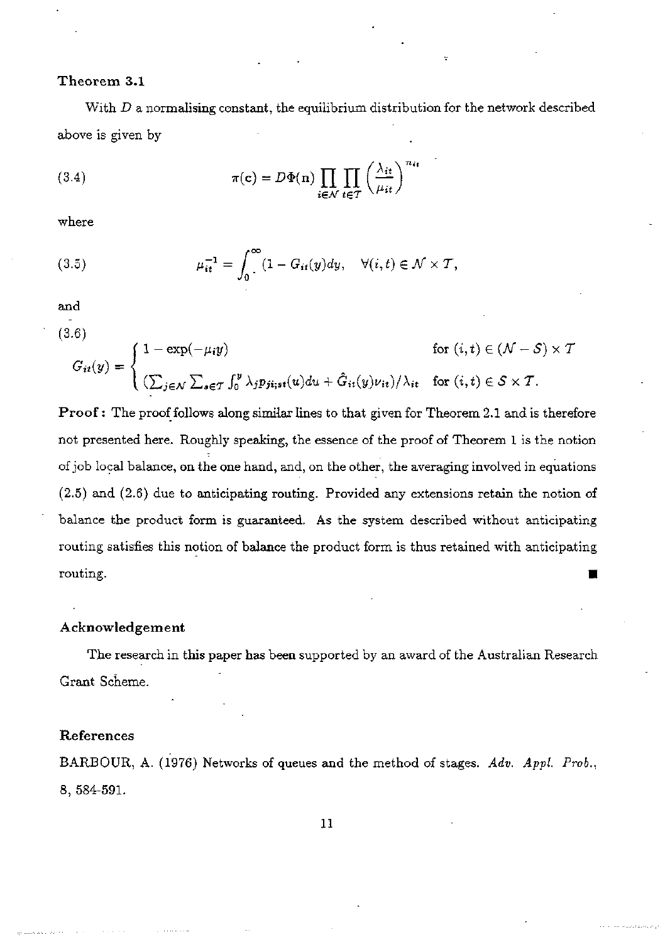#### **Theorem** 3.1

With *D* a normalising constant, the equilibrium distribution for the network described above is given by

(3.4) 
$$
\pi(\mathbf{c}) = D\Phi(\mathbf{n}) \prod_{i \in \mathcal{N}} \prod_{t \in \mathcal{T}} \left(\frac{\lambda_{it}}{\mu_{it}}\right)^{n_{it}}
$$

where

(3.5) 
$$
\mu_{it}^{-1} = \int_0^\infty (1 - G_{it}(y) dy, \quad \forall (i, t) \in \mathcal{N} \times \mathcal{T},
$$

and

(3.6)

$$
G_{it}(y) = \begin{cases} 1 - \exp(-\mu_i y) & \text{for } (i, t) \in (\mathcal{N} - \mathcal{S}) \times \mathcal{T} \\ \left(\sum_{j \in \mathcal{N}} \sum_{s \in \mathcal{T}} \int_0^y \lambda_j p_{ji;st}(u) du + \hat{G}_{it}(y) \nu_{it}\right) / \lambda_{it} & \text{for } (i, t) \in \mathcal{S} \times \mathcal{T}. \end{cases}
$$

**Proof**: The proof follows along similar lines to that given for Theorem 2.1 and is therefore not presented here. Roughly speaking, the essence of the proof of Theorem 1 is the notion of job local balance, on the one hand, and, on the other, the averaging involved in equations (2.5) and (2.6) due to anticipating routing. Provided any extensions retain the notion of balance the product form is guaranteed. As the system described without anticipating routing satisfies this notion of balance the product form is thus retained with anticipating routing. **•** 

#### **Acknowledgement**

The research in this paper has been supported by an award of the Australian Research Grant Scheme.

#### **References**

BARBOUR, A. (1976) Networks of queues and the method of stages. *Adv. Appl. Prob.,*  8, 584-591.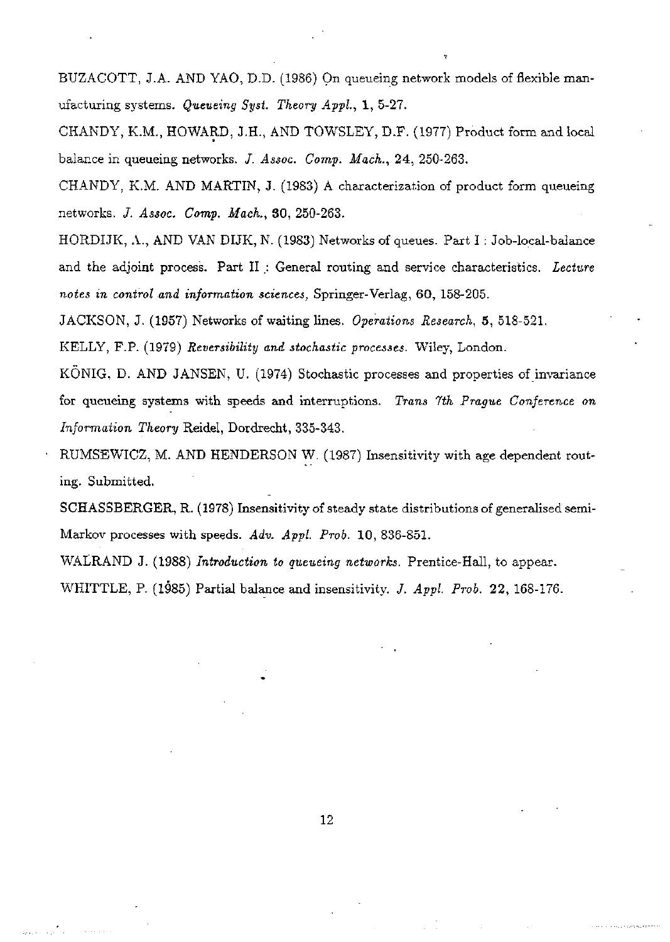BUZACOTT, J.A. AND YAO, D.D. (1986) On queueing network models of fiexible manufacturing systems. *Queueing Syst. Theory Appl,* 1, 5-27.

CHANDY, K.M., HOWARD, J.H., AND TOWSLEY, D.F. (1977) Product form and local balance in queueing networks. *J. Assoc. Comp. Mach.,* 24, 250-263.

CHANDY, K.M. AND MARTIN, J. (1983) A characterization of product form queueing networks. *J. Assoc. Comp. Mach.,* 30, 250-263.

HORDIJK, A., AND VAN DIJK, N. (1983) Networks of queues. Part I: Job-local-balance and the adjoint process. Part II : General routing and service characteristics. Lecture *notes in control and information sciences,* Springer-Verlag, 60, 158-205.

JACKSON, J. (1957) Networks of waiting lines. *Operations Research,* 5, 518-521.

KELLY, F.P. (1979) *Reversibility and stochastic processes.* Wiley, London.

KONIG, D. AND JANSEN, U. (1974) Stochastic processes and properties of invariance for queueing systems with speeds and interruptions. *Trans 7th Prague Conference on Information Theory* Reidel, Dordrecht, 335-343.

RUMSEWICZ, M. AND HENDERSON W. (1987) Insensitivity with age dependent routing. Submitted.

SCHASSBERGER, R. (1978) Insensitivity of steady state distributions of generalised semi-Markov processes with speeds. *Adv. Appl. Prob.* 10, 836-851.

WALRAND J. (1988) *Introduction to queueing networks.* Prentice-Hall, to appear.

WHITTLE, P. (1985) Partial balance and insensitivity. *J. Appl. Prob.* 22, 168-176.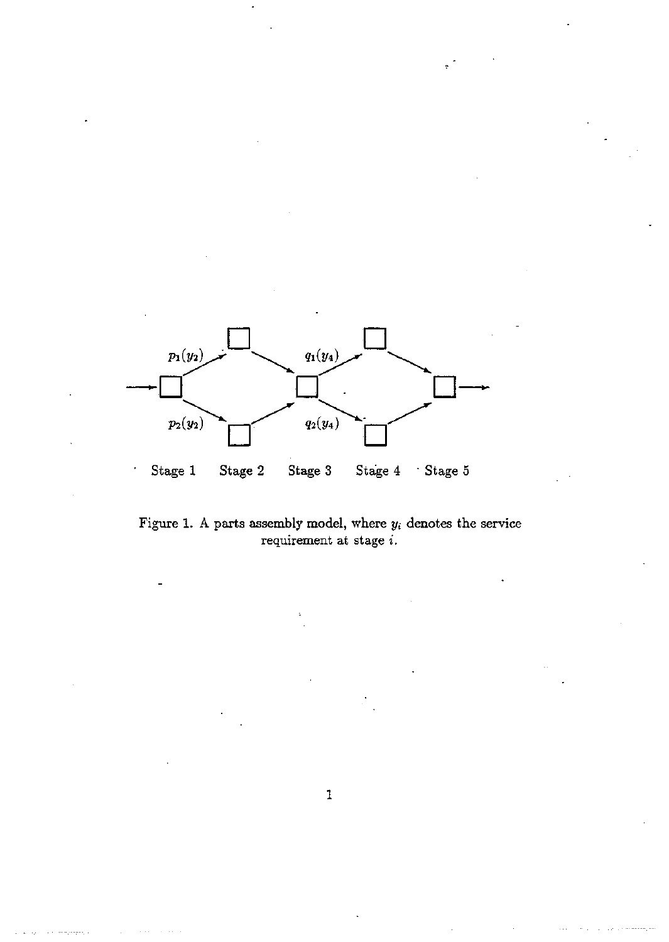

Figure 1. A parts assembly model, where  $y_i$  denotes the service requirement at stage *i.*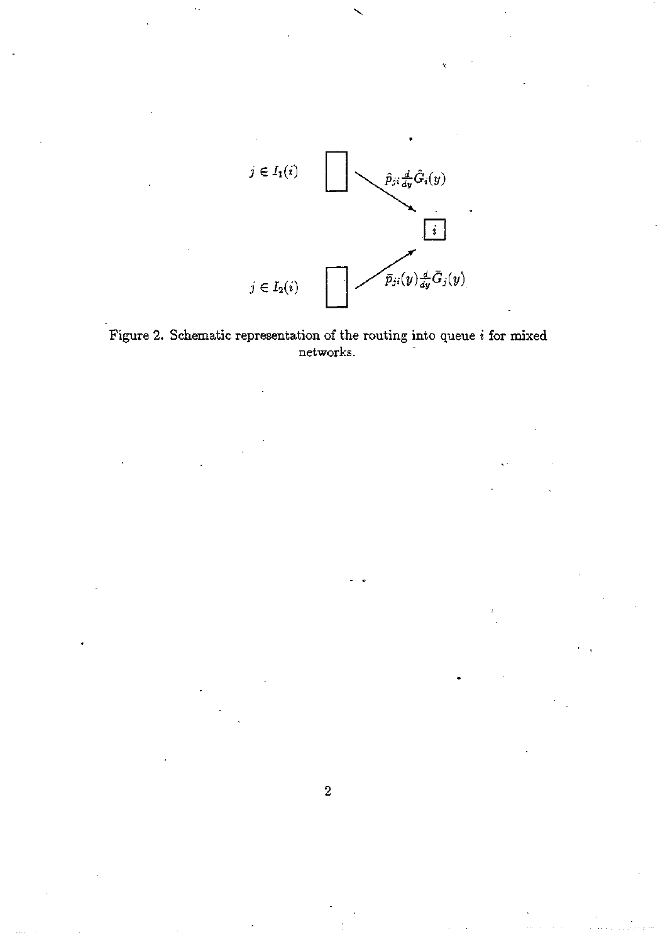



 $\overline{\mathbf{2}}$